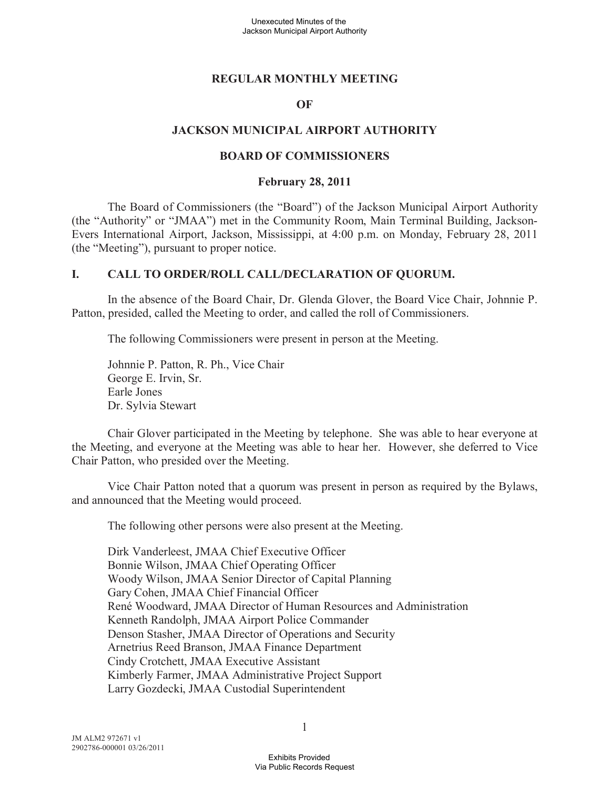### **REGULAR MONTHLY MEETING**

#### **OF**

### **JACKSON MUNICIPAL AIRPORT AUTHORITY**

#### **BOARD OF COMMISSIONERS**

#### **February 28, 2011**

The Board of Commissioners (the "Board") of the Jackson Municipal Airport Authority (the "Authority" or "JMAA") met in the Community Room, Main Terminal Building, Jackson-Evers International Airport, Jackson, Mississippi, at 4:00 p.m. on Monday, February 28, 2011 (the "Meeting"), pursuant to proper notice.

### **I. CALL TO ORDER/ROLL CALL/DECLARATION OF QUORUM.**

In the absence of the Board Chair, Dr. Glenda Glover, the Board Vice Chair, Johnnie P. Patton, presided, called the Meeting to order, and called the roll of Commissioners.

The following Commissioners were present in person at the Meeting.

Johnnie P. Patton, R. Ph., Vice Chair George E. Irvin, Sr. Earle Jones Dr. Sylvia Stewart

Chair Glover participated in the Meeting by telephone. She was able to hear everyone at the Meeting, and everyone at the Meeting was able to hear her. However, she deferred to Vice Chair Patton, who presided over the Meeting.

Vice Chair Patton noted that a quorum was present in person as required by the Bylaws, and announced that the Meeting would proceed.

The following other persons were also present at the Meeting.

Dirk Vanderleest, JMAA Chief Executive Officer Bonnie Wilson, JMAA Chief Operating Officer Woody Wilson, JMAA Senior Director of Capital Planning Gary Cohen, JMAA Chief Financial Officer René Woodward, JMAA Director of Human Resources and Administration Kenneth Randolph, JMAA Airport Police Commander Denson Stasher, JMAA Director of Operations and Security Arnetrius Reed Branson, JMAA Finance Department Cindy Crotchett, JMAA Executive Assistant Kimberly Farmer, JMAA Administrative Project Support Larry Gozdecki, JMAA Custodial Superintendent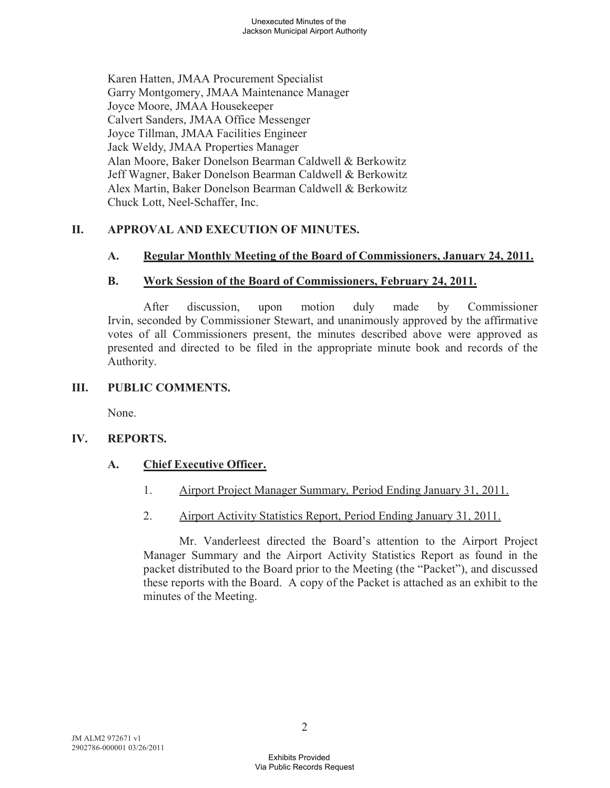Karen Hatten, JMAA Procurement Specialist Garry Montgomery, JMAA Maintenance Manager Joyce Moore, JMAA Housekeeper Calvert Sanders, JMAA Office Messenger Joyce Tillman, JMAA Facilities Engineer Jack Weldy, JMAA Properties Manager Alan Moore, Baker Donelson Bearman Caldwell & Berkowitz Jeff Wagner, Baker Donelson Bearman Caldwell & Berkowitz Alex Martin, Baker Donelson Bearman Caldwell & Berkowitz Chuck Lott, Neel-Schaffer, Inc.

## **II. APPROVAL AND EXECUTION OF MINUTES.**

## **A. Regular Monthly Meeting of the Board of Commissioners, January 24, 2011.**

## **B. Work Session of the Board of Commissioners, February 24, 2011.**

After discussion, upon motion duly made by Commissioner Irvin, seconded by Commissioner Stewart, and unanimously approved by the affirmative votes of all Commissioners present, the minutes described above were approved as presented and directed to be filed in the appropriate minute book and records of the Authority.

### **III. PUBLIC COMMENTS.**

None.

## **IV. REPORTS.**

## **A. Chief Executive Officer.**

- 1. Airport Project Manager Summary, Period Ending January 31, 2011.
- 2. Airport Activity Statistics Report, Period Ending January 31, 2011.

Mr. Vanderleest directed the Board's attention to the Airport Project Manager Summary and the Airport Activity Statistics Report as found in the packet distributed to the Board prior to the Meeting (the "Packet"), and discussed these reports with the Board. A copy of the Packet is attached as an exhibit to the minutes of the Meeting.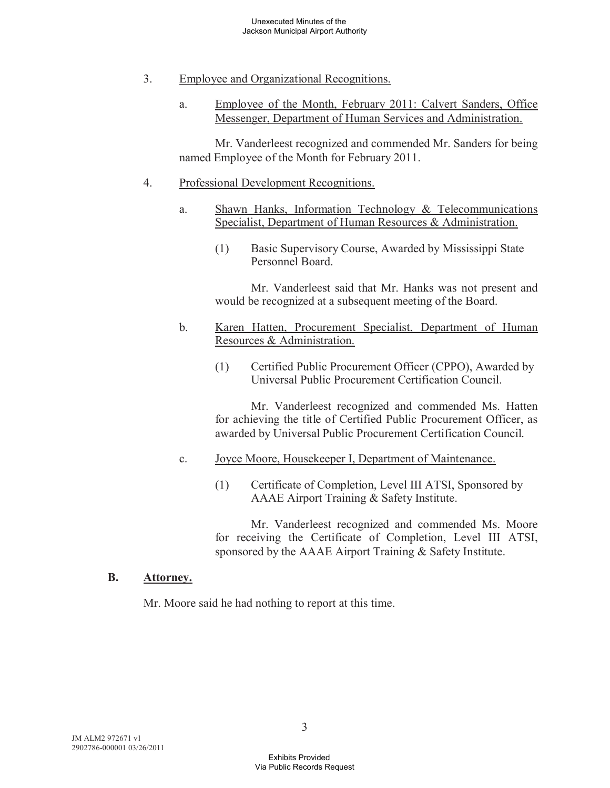- 3. Employee and Organizational Recognitions.
	- a. Employee of the Month, February 2011: Calvert Sanders, Office Messenger, Department of Human Services and Administration.

Mr. Vanderleest recognized and commended Mr. Sanders for being named Employee of the Month for February 2011.

#### 4. Professional Development Recognitions.

- a. Shawn Hanks, Information Technology & Telecommunications Specialist, Department of Human Resources & Administration.
	- (1) Basic Supervisory Course, Awarded by Mississippi State Personnel Board.

Mr. Vanderleest said that Mr. Hanks was not present and would be recognized at a subsequent meeting of the Board.

- b. Karen Hatten, Procurement Specialist, Department of Human Resources & Administration.
	- (1) Certified Public Procurement Officer (CPPO), Awarded by Universal Public Procurement Certification Council.

Mr. Vanderleest recognized and commended Ms. Hatten for achieving the title of Certified Public Procurement Officer, as awarded by Universal Public Procurement Certification Council.

- c. Joyce Moore, Housekeeper I, Department of Maintenance.
	- (1) Certificate of Completion, Level III ATSI, Sponsored by AAAE Airport Training & Safety Institute.

Mr. Vanderleest recognized and commended Ms. Moore for receiving the Certificate of Completion, Level III ATSI, sponsored by the AAAE Airport Training & Safety Institute.

#### **B. Attorney.**

Mr. Moore said he had nothing to report at this time.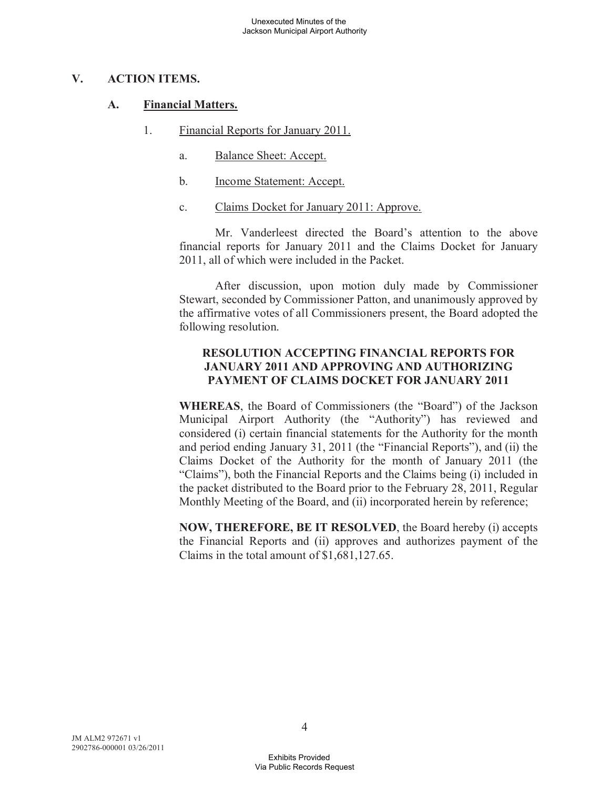## **V. ACTION ITEMS.**

### **A. Financial Matters.**

- 1. Financial Reports for January 2011.
	- a. Balance Sheet: Accept.
	- b. Income Statement: Accept.
	- c. Claims Docket for January 2011: Approve.

Mr. Vanderleest directed the Board's attention to the above financial reports for January 2011 and the Claims Docket for January 2011, all of which were included in the Packet.

After discussion, upon motion duly made by Commissioner Stewart, seconded by Commissioner Patton, and unanimously approved by the affirmative votes of all Commissioners present, the Board adopted the following resolution.

## **RESOLUTION ACCEPTING FINANCIAL REPORTS FOR JANUARY 2011 AND APPROVING AND AUTHORIZING PAYMENT OF CLAIMS DOCKET FOR JANUARY 2011**

**WHEREAS**, the Board of Commissioners (the "Board") of the Jackson Municipal Airport Authority (the "Authority") has reviewed and considered (i) certain financial statements for the Authority for the month and period ending January 31, 2011 (the "Financial Reports"), and (ii) the Claims Docket of the Authority for the month of January 2011 (the "Claims"), both the Financial Reports and the Claims being (i) included in the packet distributed to the Board prior to the February 28, 2011, Regular Monthly Meeting of the Board, and (ii) incorporated herein by reference;

**NOW, THEREFORE, BE IT RESOLVED**, the Board hereby (i) accepts the Financial Reports and (ii) approves and authorizes payment of the Claims in the total amount of \$1,681,127.65.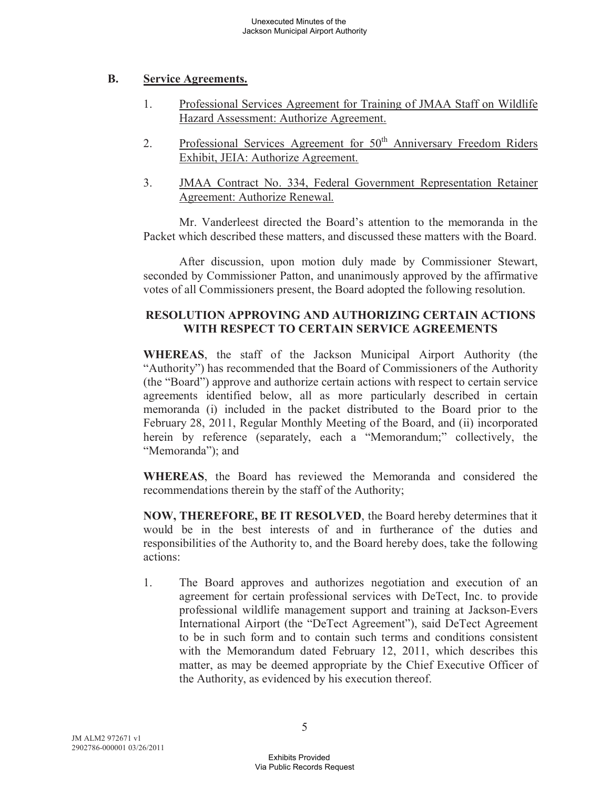## **B. Service Agreements.**

- 1. Professional Services Agreement for Training of JMAA Staff on Wildlife Hazard Assessment: Authorize Agreement.
- 2. Professional Services Agreement for  $50<sup>th</sup>$  Anniversary Freedom Riders Exhibit, JEIA: Authorize Agreement.
- 3. JMAA Contract No. 334, Federal Government Representation Retainer Agreement: Authorize Renewal.

Mr. Vanderleest directed the Board's attention to the memoranda in the Packet which described these matters, and discussed these matters with the Board.

After discussion, upon motion duly made by Commissioner Stewart, seconded by Commissioner Patton, and unanimously approved by the affirmative votes of all Commissioners present, the Board adopted the following resolution.

# **RESOLUTION APPROVING AND AUTHORIZING CERTAIN ACTIONS WITH RESPECT TO CERTAIN SERVICE AGREEMENTS**

**WHEREAS**, the staff of the Jackson Municipal Airport Authority (the "Authority") has recommended that the Board of Commissioners of the Authority (the "Board") approve and authorize certain actions with respect to certain service agreements identified below, all as more particularly described in certain memoranda (i) included in the packet distributed to the Board prior to the February 28, 2011, Regular Monthly Meeting of the Board, and (ii) incorporated herein by reference (separately, each a "Memorandum;" collectively, the "Memoranda"); and

**WHEREAS**, the Board has reviewed the Memoranda and considered the recommendations therein by the staff of the Authority;

**NOW, THEREFORE, BE IT RESOLVED**, the Board hereby determines that it would be in the best interests of and in furtherance of the duties and responsibilities of the Authority to, and the Board hereby does, take the following actions:

1. The Board approves and authorizes negotiation and execution of an agreement for certain professional services with DeTect, Inc. to provide professional wildlife management support and training at Jackson-Evers International Airport (the "DeTect Agreement"), said DeTect Agreement to be in such form and to contain such terms and conditions consistent with the Memorandum dated February 12, 2011, which describes this matter, as may be deemed appropriate by the Chief Executive Officer of the Authority, as evidenced by his execution thereof.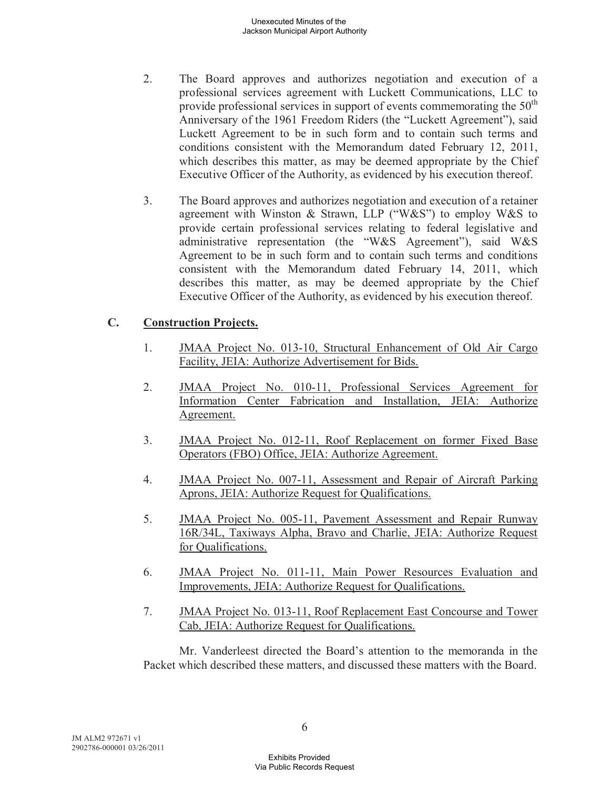- 2. The Board approves and authorizes negotiation and execution of a professional services agreement with Luckett Communications, LLC to provide professional services in support of events commemorating the  $50<sup>th</sup>$ Anniversary of the 1961 Freedom Riders (the "Luckett Agreement"), said Luckett Agreement to be in such form and to contain such terms and conditions consistent with the Memorandum dated February 12, 2011, which describes this matter, as may be deemed appropriate by the Chief Executive Officer of the Authority, as evidenced by his execution thereof.
- 3. The Board approves and authorizes negotiation and execution of a retainer agreement with Winston & Strawn, LLP ("W&S") to employ W&S to provide certain professional services relating to federal legislative and administrative representation (the "W&S Agreement"), said W&S Agreement to be in such form and to contain such terms and conditions consistent with the Memorandum dated February 14, 2011, which describes this matter, as may be deemed appropriate by the Chief Executive Officer of the Authority, as evidenced by his execution thereof.

# **C. Construction Projects.**

- 1. JMAA Project No. 013-10, Structural Enhancement of Old Air Cargo Facility, JEIA: Authorize Advertisement for Bids.
- 2. JMAA Project No. 010-11, Professional Services Agreement for Information Center Fabrication and Installation, JEIA: Authorize Agreement.
- 3. JMAA Project No. 012-11, Roof Replacement on former Fixed Base Operators (FBO) Office, JEIA: Authorize Agreement.
- 4. JMAA Project No. 007-11, Assessment and Repair of Aircraft Parking Aprons, JEIA: Authorize Request for Qualifications.
- 5. JMAA Project No. 005-11, Pavement Assessment and Repair Runway 16R/34L, Taxiways Alpha, Bravo and Charlie, JEIA: Authorize Request for Qualifications.
- 6. JMAA Project No. 011-11, Main Power Resources Evaluation and Improvements, JEIA: Authorize Request for Qualifications.
- 7. JMAA Project No. 013-11, Roof Replacement East Concourse and Tower Cab, JEIA: Authorize Request for Qualifications.

Mr. Vanderleest directed the Board's attention to the memoranda in the Packet which described these matters, and discussed these matters with the Board.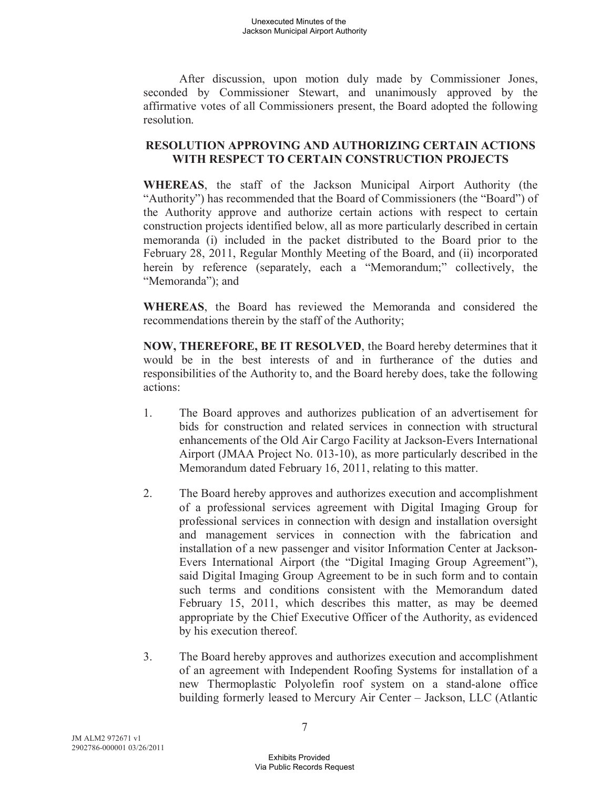After discussion, upon motion duly made by Commissioner Jones, seconded by Commissioner Stewart, and unanimously approved by the affirmative votes of all Commissioners present, the Board adopted the following resolution.

### **RESOLUTION APPROVING AND AUTHORIZING CERTAIN ACTIONS WITH RESPECT TO CERTAIN CONSTRUCTION PROJECTS**

**WHEREAS**, the staff of the Jackson Municipal Airport Authority (the "Authority") has recommended that the Board of Commissioners (the "Board") of the Authority approve and authorize certain actions with respect to certain construction projects identified below, all as more particularly described in certain memoranda (i) included in the packet distributed to the Board prior to the February 28, 2011, Regular Monthly Meeting of the Board, and (ii) incorporated herein by reference (separately, each a "Memorandum;" collectively, the "Memoranda"); and

**WHEREAS**, the Board has reviewed the Memoranda and considered the recommendations therein by the staff of the Authority;

**NOW, THEREFORE, BE IT RESOLVED**, the Board hereby determines that it would be in the best interests of and in furtherance of the duties and responsibilities of the Authority to, and the Board hereby does, take the following actions:

- 1. The Board approves and authorizes publication of an advertisement for bids for construction and related services in connection with structural enhancements of the Old Air Cargo Facility at Jackson-Evers International Airport (JMAA Project No. 013-10), as more particularly described in the Memorandum dated February 16, 2011, relating to this matter.
- 2. The Board hereby approves and authorizes execution and accomplishment of a professional services agreement with Digital Imaging Group for professional services in connection with design and installation oversight and management services in connection with the fabrication and installation of a new passenger and visitor Information Center at Jackson-Evers International Airport (the "Digital Imaging Group Agreement"), said Digital Imaging Group Agreement to be in such form and to contain such terms and conditions consistent with the Memorandum dated February 15, 2011, which describes this matter, as may be deemed appropriate by the Chief Executive Officer of the Authority, as evidenced by his execution thereof.
- 3. The Board hereby approves and authorizes execution and accomplishment of an agreement with Independent Roofing Systems for installation of a new Thermoplastic Polyolefin roof system on a stand-alone office building formerly leased to Mercury Air Center – Jackson, LLC (Atlantic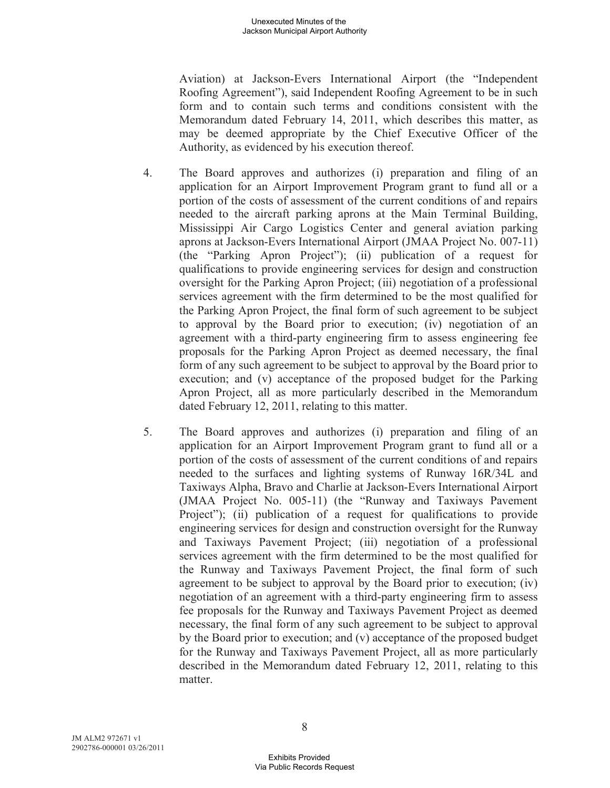Aviation) at Jackson-Evers International Airport (the "Independent Roofing Agreement"), said Independent Roofing Agreement to be in such form and to contain such terms and conditions consistent with the Memorandum dated February 14, 2011, which describes this matter, as may be deemed appropriate by the Chief Executive Officer of the Authority, as evidenced by his execution thereof.

- 4. The Board approves and authorizes (i) preparation and filing of an application for an Airport Improvement Program grant to fund all or a portion of the costs of assessment of the current conditions of and repairs needed to the aircraft parking aprons at the Main Terminal Building, Mississippi Air Cargo Logistics Center and general aviation parking aprons at Jackson-Evers International Airport (JMAA Project No. 007-11) (the "Parking Apron Project"); (ii) publication of a request for qualifications to provide engineering services for design and construction oversight for the Parking Apron Project; (iii) negotiation of a professional services agreement with the firm determined to be the most qualified for the Parking Apron Project, the final form of such agreement to be subject to approval by the Board prior to execution; (iv) negotiation of an agreement with a third-party engineering firm to assess engineering fee proposals for the Parking Apron Project as deemed necessary, the final form of any such agreement to be subject to approval by the Board prior to execution; and (v) acceptance of the proposed budget for the Parking Apron Project, all as more particularly described in the Memorandum dated February 12, 2011, relating to this matter.
- 5. The Board approves and authorizes (i) preparation and filing of an application for an Airport Improvement Program grant to fund all or a portion of the costs of assessment of the current conditions of and repairs needed to the surfaces and lighting systems of Runway 16R/34L and Taxiways Alpha, Bravo and Charlie at Jackson-Evers International Airport (JMAA Project No. 005-11) (the "Runway and Taxiways Pavement Project"); (ii) publication of a request for qualifications to provide engineering services for design and construction oversight for the Runway and Taxiways Pavement Project; (iii) negotiation of a professional services agreement with the firm determined to be the most qualified for the Runway and Taxiways Pavement Project, the final form of such agreement to be subject to approval by the Board prior to execution; (iv) negotiation of an agreement with a third-party engineering firm to assess fee proposals for the Runway and Taxiways Pavement Project as deemed necessary, the final form of any such agreement to be subject to approval by the Board prior to execution; and (v) acceptance of the proposed budget for the Runway and Taxiways Pavement Project, all as more particularly described in the Memorandum dated February 12, 2011, relating to this matter.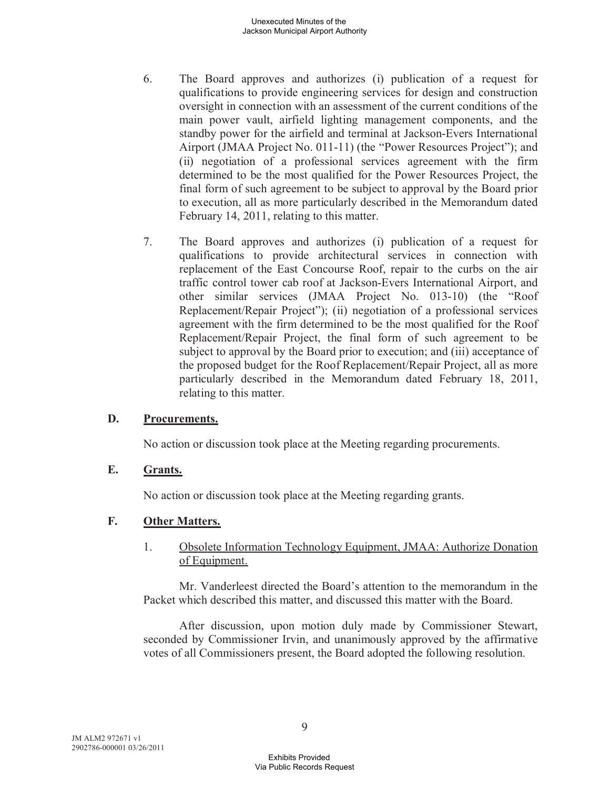- 6. The Board approves and authorizes (i) publication of a request for qualifications to provide engineering services for design and construction oversight in connection with an assessment of the current conditions of the main power vault, airfield lighting management components, and the standby power for the airfield and terminal at Jackson-Evers International Airport (JMAA Project No. 011-11) (the "Power Resources Project"); and (ii) negotiation of a professional services agreement with the firm determined to be the most qualified for the Power Resources Project, the final form of such agreement to be subject to approval by the Board prior to execution, all as more particularly described in the Memorandum dated February 14, 2011, relating to this matter.
- 7. The Board approves and authorizes (i) publication of a request for qualifications to provide architectural services in connection with replacement of the East Concourse Roof, repair to the curbs on the air traffic control tower cab roof at Jackson-Evers International Airport, and other similar services (JMAA Project No. 013-10) (the "Roof Replacement/Repair Project"); (ii) negotiation of a professional services agreement with the firm determined to be the most qualified for the Roof Replacement/Repair Project, the final form of such agreement to be subject to approval by the Board prior to execution; and (iii) acceptance of the proposed budget for the Roof Replacement/Repair Project, all as more particularly described in the Memorandum dated February 18, 2011, relating to this matter.

#### **D. Procurements.**

No action or discussion took place at the Meeting regarding procurements.

#### **E. Grants.**

No action or discussion took place at the Meeting regarding grants.

## **F. Other Matters.**

### 1. Obsolete Information Technology Equipment, JMAA: Authorize Donation of Equipment.

Mr. Vanderleest directed the Board's attention to the memorandum in the Packet which described this matter, and discussed this matter with the Board.

After discussion, upon motion duly made by Commissioner Stewart, seconded by Commissioner Irvin, and unanimously approved by the affirmative votes of all Commissioners present, the Board adopted the following resolution.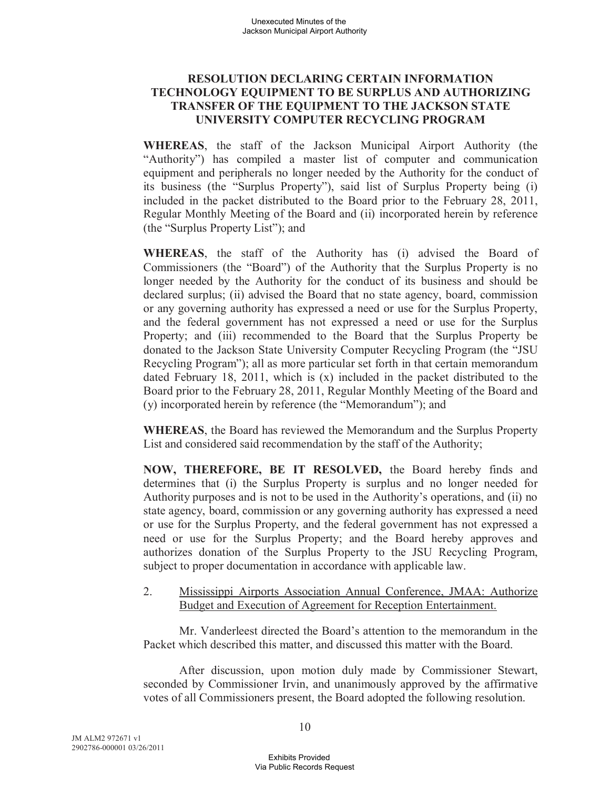### **RESOLUTION DECLARING CERTAIN INFORMATION TECHNOLOGY EQUIPMENT TO BE SURPLUS AND AUTHORIZING TRANSFER OF THE EQUIPMENT TO THE JACKSON STATE UNIVERSITY COMPUTER RECYCLING PROGRAM**

**WHEREAS**, the staff of the Jackson Municipal Airport Authority (the "Authority") has compiled a master list of computer and communication equipment and peripherals no longer needed by the Authority for the conduct of its business (the "Surplus Property"), said list of Surplus Property being (i) included in the packet distributed to the Board prior to the February 28, 2011, Regular Monthly Meeting of the Board and (ii) incorporated herein by reference (the "Surplus Property List"); and

**WHEREAS**, the staff of the Authority has (i) advised the Board of Commissioners (the "Board") of the Authority that the Surplus Property is no longer needed by the Authority for the conduct of its business and should be declared surplus; (ii) advised the Board that no state agency, board, commission or any governing authority has expressed a need or use for the Surplus Property, and the federal government has not expressed a need or use for the Surplus Property; and (iii) recommended to the Board that the Surplus Property be donated to the Jackson State University Computer Recycling Program (the "JSU Recycling Program"); all as more particular set forth in that certain memorandum dated February 18, 2011, which is (x) included in the packet distributed to the Board prior to the February 28, 2011, Regular Monthly Meeting of the Board and (y) incorporated herein by reference (the "Memorandum"); and

**WHEREAS**, the Board has reviewed the Memorandum and the Surplus Property List and considered said recommendation by the staff of the Authority;

**NOW, THEREFORE, BE IT RESOLVED,** the Board hereby finds and determines that (i) the Surplus Property is surplus and no longer needed for Authority purposes and is not to be used in the Authority's operations, and (ii) no state agency, board, commission or any governing authority has expressed a need or use for the Surplus Property, and the federal government has not expressed a need or use for the Surplus Property; and the Board hereby approves and authorizes donation of the Surplus Property to the JSU Recycling Program, subject to proper documentation in accordance with applicable law.

### 2. Mississippi Airports Association Annual Conference, JMAA: Authorize Budget and Execution of Agreement for Reception Entertainment.

Mr. Vanderleest directed the Board's attention to the memorandum in the Packet which described this matter, and discussed this matter with the Board.

After discussion, upon motion duly made by Commissioner Stewart, seconded by Commissioner Irvin, and unanimously approved by the affirmative votes of all Commissioners present, the Board adopted the following resolution.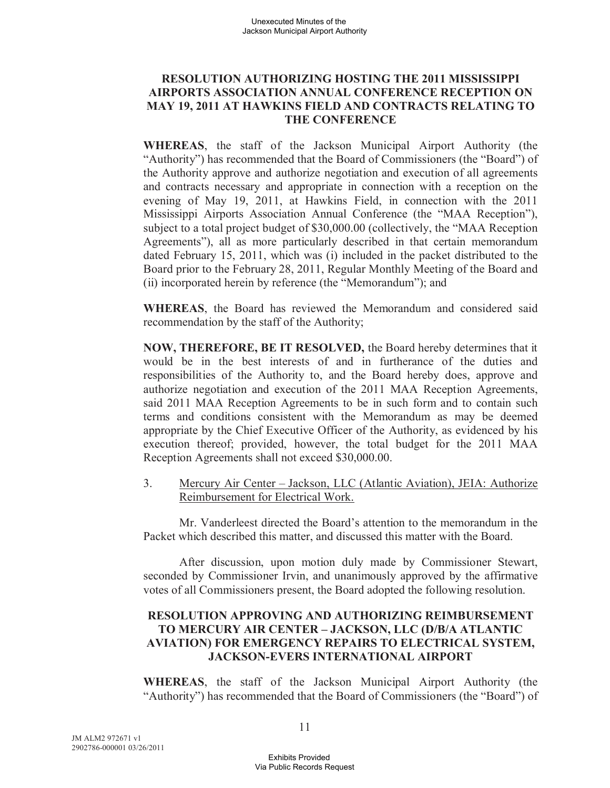### **RESOLUTION AUTHORIZING HOSTING THE 2011 MISSISSIPPI AIRPORTS ASSOCIATION ANNUAL CONFERENCE RECEPTION ON MAY 19, 2011 AT HAWKINS FIELD AND CONTRACTS RELATING TO THE CONFERENCE**

**WHEREAS**, the staff of the Jackson Municipal Airport Authority (the "Authority") has recommended that the Board of Commissioners (the "Board") of the Authority approve and authorize negotiation and execution of all agreements and contracts necessary and appropriate in connection with a reception on the evening of May 19, 2011, at Hawkins Field, in connection with the 2011 Mississippi Airports Association Annual Conference (the "MAA Reception"), subject to a total project budget of \$30,000.00 (collectively, the "MAA Reception Agreements"), all as more particularly described in that certain memorandum dated February 15, 2011, which was (i) included in the packet distributed to the Board prior to the February 28, 2011, Regular Monthly Meeting of the Board and (ii) incorporated herein by reference (the "Memorandum"); and

**WHEREAS**, the Board has reviewed the Memorandum and considered said recommendation by the staff of the Authority;

**NOW, THEREFORE, BE IT RESOLVED,** the Board hereby determines that it would be in the best interests of and in furtherance of the duties and responsibilities of the Authority to, and the Board hereby does, approve and authorize negotiation and execution of the 2011 MAA Reception Agreements, said 2011 MAA Reception Agreements to be in such form and to contain such terms and conditions consistent with the Memorandum as may be deemed appropriate by the Chief Executive Officer of the Authority, as evidenced by his execution thereof; provided, however, the total budget for the 2011 MAA Reception Agreements shall not exceed \$30,000.00.

3. Mercury Air Center – Jackson, LLC (Atlantic Aviation), JEIA: Authorize Reimbursement for Electrical Work.

Mr. Vanderleest directed the Board's attention to the memorandum in the Packet which described this matter, and discussed this matter with the Board.

After discussion, upon motion duly made by Commissioner Stewart, seconded by Commissioner Irvin, and unanimously approved by the affirmative votes of all Commissioners present, the Board adopted the following resolution.

## **RESOLUTION APPROVING AND AUTHORIZING REIMBURSEMENT TO MERCURY AIR CENTER – JACKSON, LLC (D/B/A ATLANTIC AVIATION) FOR EMERGENCY REPAIRS TO ELECTRICAL SYSTEM, JACKSON-EVERS INTERNATIONAL AIRPORT**

**WHEREAS**, the staff of the Jackson Municipal Airport Authority (the "Authority") has recommended that the Board of Commissioners (the "Board") of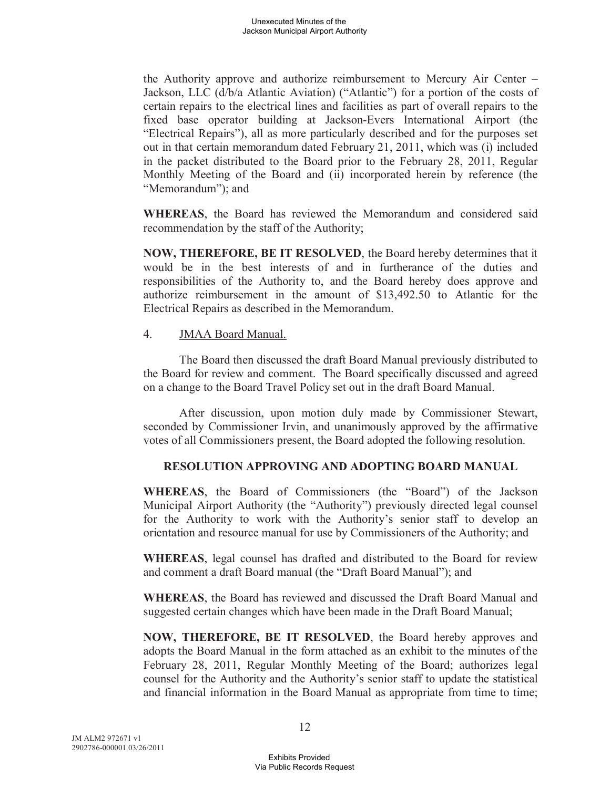the Authority approve and authorize reimbursement to Mercury Air Center – Jackson, LLC (d/b/a Atlantic Aviation) ("Atlantic") for a portion of the costs of certain repairs to the electrical lines and facilities as part of overall repairs to the fixed base operator building at Jackson-Evers International Airport (the "Electrical Repairs"), all as more particularly described and for the purposes set out in that certain memorandum dated February 21, 2011, which was (i) included in the packet distributed to the Board prior to the February 28, 2011, Regular Monthly Meeting of the Board and (ii) incorporated herein by reference (the "Memorandum"); and

**WHEREAS**, the Board has reviewed the Memorandum and considered said recommendation by the staff of the Authority;

**NOW, THEREFORE, BE IT RESOLVED**, the Board hereby determines that it would be in the best interests of and in furtherance of the duties and responsibilities of the Authority to, and the Board hereby does approve and authorize reimbursement in the amount of \$13,492.50 to Atlantic for the Electrical Repairs as described in the Memorandum.

4. JMAA Board Manual.

The Board then discussed the draft Board Manual previously distributed to the Board for review and comment. The Board specifically discussed and agreed on a change to the Board Travel Policy set out in the draft Board Manual.

After discussion, upon motion duly made by Commissioner Stewart, seconded by Commissioner Irvin, and unanimously approved by the affirmative votes of all Commissioners present, the Board adopted the following resolution.

## **RESOLUTION APPROVING AND ADOPTING BOARD MANUAL**

**WHEREAS**, the Board of Commissioners (the "Board") of the Jackson Municipal Airport Authority (the "Authority") previously directed legal counsel for the Authority to work with the Authority's senior staff to develop an orientation and resource manual for use by Commissioners of the Authority; and

**WHEREAS**, legal counsel has drafted and distributed to the Board for review and comment a draft Board manual (the "Draft Board Manual"); and

**WHEREAS**, the Board has reviewed and discussed the Draft Board Manual and suggested certain changes which have been made in the Draft Board Manual;

**NOW, THEREFORE, BE IT RESOLVED**, the Board hereby approves and adopts the Board Manual in the form attached as an exhibit to the minutes of the February 28, 2011, Regular Monthly Meeting of the Board; authorizes legal counsel for the Authority and the Authority's senior staff to update the statistical and financial information in the Board Manual as appropriate from time to time;